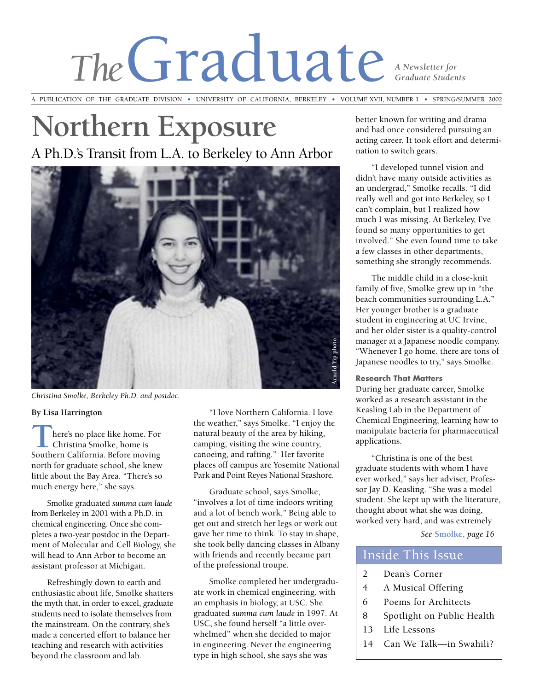# The Graduate **Straduate** Studen *Graduate Students*

A PUBLICATION OF THE GRADUATE DIVISION **•** UNIVERSITY OF CALIFORNIA, BERKELEY **•** VOLUME XVII, NUMBER 1 **•** SPRING/SUMMER 2002

# **Northern Exposure** A Ph.D.'s Transit from L.A. to Berkeley to Ann Arbor



*Christina Smolke, Berkeley Ph.D. and postdoc.*

#### **By Lisa Harrington**

**T There's no place like home. For Christina Smolke, home is Southern California. Before moving** here's no place like home. For Christina Smolke, home is north for graduate school, she knew little about the Bay Area. "There's so much energy here," she says.

Smolke graduated *summa cum laude* from Berkeley in 2001 with a Ph.D. in chemical engineering. Once she completes a two-year postdoc in the Department of Molecular and Cell Biology, she will head to Ann Arbor to become an assistant professor at Michigan.

Refreshingly down to earth and enthusiastic about life, Smolke shatters the myth that, in order to excel, graduate students need to isolate themselves from the mainstream. On the contrary, she's made a concerted effort to balance her teaching and research with activities beyond the classroom and lab.

"I love Northern California. I love the weather," says Smolke. "I enjoy the natural beauty of the area by hiking, camping, visiting the wine country, canoeing, and rafting." Her favorite places off campus are Yosemite National Park and Point Reyes National Seashore.

Graduate school, says Smolke, "involves a lot of time indoors writing and a lot of bench work." Being able to get out and stretch her legs or work out gave her time to think. To stay in shape, she took belly dancing classes in Albany with friends and recently became part of the professional troupe.

Smolke completed her undergraduate work in chemical engineering, with an emphasis in biology, at USC. She graduated *summa cum laude* in 1997. At USC, she found herself "a little overwhelmed" when she decided to major in engineering. Never the engineering type in high school, she says she was

better known for writing and drama and had once considered pursuing an acting career. It took effort and determination to switch gears.

"I developed tunnel vision and didn't have many outside activities as an undergrad," Smolke recalls. "I did really well and got into Berkeley, so I can't complain, but I realized how much I was missing. At Berkeley, I've found so many opportunities to get involved." She even found time to take a few classes in other departments, something she strongly recommends.

The middle child in a close-knit family of five, Smolke grew up in "the beach communities surrounding L.A." Her younger brother is a graduate student in engineering at UC Irvine, and her older sister is a quality-control manager at a Japanese noodle company. "Whenever I go home, there are tons of Japanese noodles to try," says Smolke.

#### **Research That Matters**

During her graduate career, Smolke worked as a research assistant in the Keasling Lab in the Department of Chemical Engineering, learning how to manipulate bacteria for pharmaceutical applications.

"Christina is one of the best graduate students with whom I have ever worked," says her adviser, Professor Jay D. Keasling. "She was a model student. She kept up with the literature, thought about what she was doing, worked very hard, and was extremely

*See* **Smolke,** *page 16*

### Inside This Issue

- 2 Dean's Corner
- 4 A Musical Offering
- 6 Poems for Architects
- 8 Spotlight on Public Health
- 13 Life Lessons
- 14 Can We Talk—in Swahili?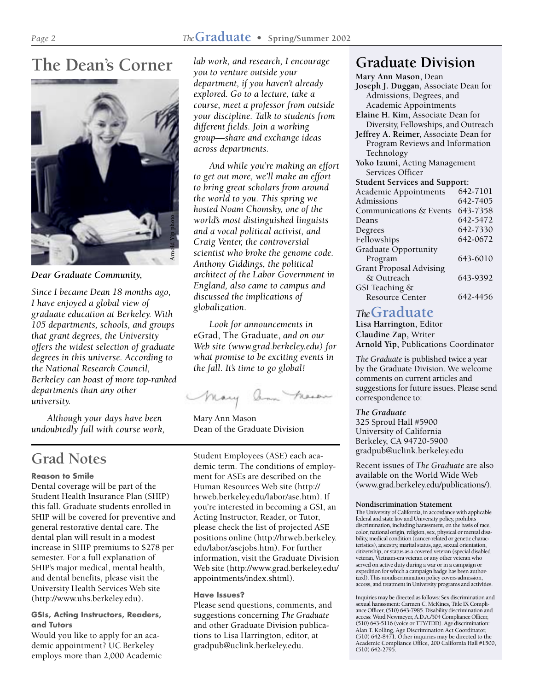# **The Dean's Corner**



*Dear Graduate Community,*

*Since I became Dean 18 months ago, I have enjoyed a global view of graduate education at Berkeley. With 105 departments, schools, and groups that grant degrees, the University offers the widest selection of graduate degrees in this universe. According to the National Research Council, Berkeley can boast of more top-ranked departments than any other university.*

*Although your days have been undoubtedly full with course work,*

## **Grad Notes**

#### **Reason to Smile**

Dental coverage will be part of the Student Health Insurance Plan (SHIP) this fall. Graduate students enrolled in SHIP will be covered for preventive and general restorative dental care. The dental plan will result in a modest increase in SHIP premiums to \$278 per semester. For a full explanation of SHIP's major medical, mental health, and dental benefits, please visit the University Health Services Web site (http://www.uhs.berkeley.edu).

#### **GSIs, Acting Instructors, Readers, and Tutors**

Would you like to apply for an academic appointment? UC Berkeley employs more than 2,000 Academic

*lab work, and research, I encourage you to venture outside your department, if you haven't already explored. Go to a lecture, take a course, meet a professor from outside your discipline. Talk to students from different fields. Join a working group—share and exchange ideas across departments.*

*And while you're making an effort to get out more, we'll make an effort to bring great scholars from around the world to you. This spring we hosted Noam Chomsky, one of the world's most distinguished linguists and a vocal political activist, and Craig Venter, the controversial scientist who broke the genome code. Anthony Giddings, the political architect of the Labor Government in England, also came to campus and discussed the implications of globalization.*

*Look for announcements in* eGrad, The Graduate, *and on our Web site (www.grad.berkeley.edu) for what promise to be exciting events in the fall. It's time to go global!*

Mary am Meson

Mary Ann Mason Dean of the Graduate Division

Student Employees (ASE) each academic term. The conditions of employment for ASEs are described on the Human Resources Web site (http:// hrweb.berkeley.edu/labor/ase.htm). If you're interested in becoming a GSI, an Acting Instructor, Reader, or Tutor, please check the list of projected ASE positions online (http://hrweb.berkeley. edu/labor/asejobs.htm). For further information, visit the Graduate Division Web site (http://www.grad.berkeley.edu/ appointments/index.shtml).

#### **Have Issues?**

Please send questions, comments, and suggestions concerning *The Graduate* and other Graduate Division publications to Lisa Harrington, editor, at gradpub@uclink.berkeley.edu.

## **Graduate Division**

| Mary Ann Mason, Dean                  |          |  |  |
|---------------------------------------|----------|--|--|
| Joseph J. Duggan, Associate Dean for  |          |  |  |
| Admissions, Degrees, and              |          |  |  |
| Academic Appointments                 |          |  |  |
| Elaine H. Kim, Associate Dean for     |          |  |  |
| Diversity, Fellowships, and Outreach  |          |  |  |
| Jeffrey A. Reimer, Associate Dean for |          |  |  |
| Program Reviews and Information       |          |  |  |
| Technology                            |          |  |  |
| Yoko Izumi, Acting Management         |          |  |  |
| Services Officer                      |          |  |  |
| <b>Student Services and Support:</b>  |          |  |  |
| Academic Appointments                 | 642-7101 |  |  |
| Admissions                            | 642-7405 |  |  |
| Communications & Events               | 643-7358 |  |  |
| Deans                                 | 642-5472 |  |  |
| Degrees                               | 642-7330 |  |  |
| Fellowships                           | 642-0672 |  |  |
| Graduate Opportunity                  |          |  |  |
| Program                               | 643-6010 |  |  |
| <b>Grant Proposal Advising</b>        |          |  |  |
| & Outreach                            | 643-9392 |  |  |
| GSI Teaching &                        |          |  |  |
| <b>Resource Center</b>                | 642-4456 |  |  |

### *The***Graduate**

**Lisa Harrington,** Editor **Claudine Zap,** Writer **Arnold Yip,** Publications Coordinator

*The Graduate* is published twice a year by the Graduate Division. We welcome comments on current articles and suggestions for future issues. Please send correspondence to:

#### *The Graduate*

325 Sproul Hall #5900 University of California Berkeley, CA 94720-5900 gradpub@uclink.berkeley.edu

Recent issues of *The Graduate* are also available on the World Wide Web (www.grad.berkeley.edu/publications/).

#### **Nondiscrimination Statement**

The University of California, in accordance with applicable federal and state law and University policy, prohibits discrimination, including harassment, on the basis of race, color, national origin, religion, sex, physical or mental disability, medical condition (cancer-related or genetic characteristics), ancestry, marital status, age, sexual orientation, citizenship, or status as a covered veteran (special disabled veteran, Vietnam-era veteran or any other veteran who served on active duty during a war or in a campaign or expedition for which a campaign badge has been authorized). This nondiscrimination policy covers admission, access, and treatment in University programs and activities.

Inquiries may be directed as follows: Sex discrimination and sexual harassment: Carmen C. McKines, Title IX Compliance Officer, (510) 643-7985. Disability discrimination and access: Ward Newmeyer, A.D.A./504 Compliance Officer, (510) 643-5116 (voice or TTY/TDD). Age discrimination: Alan T. Kolling, Age Discrimination Act Coordinator, (510) 642-8471. Other inquiries may be directed to the Academic Compliance Office, 200 California Hall #1500, (510) 642-2795.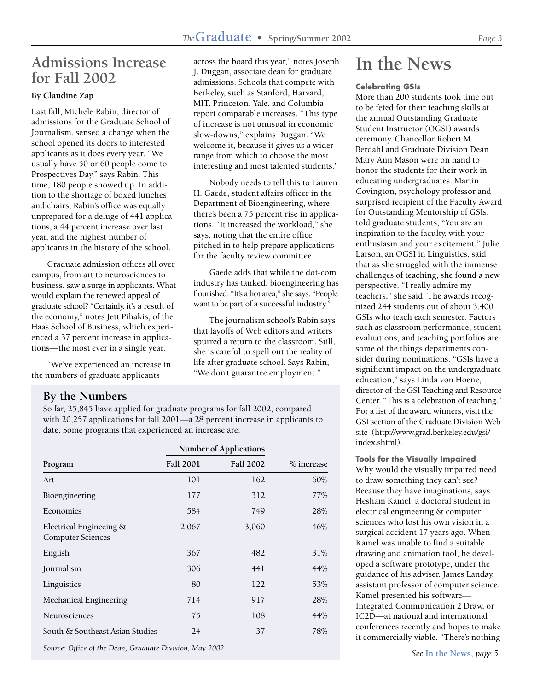## **Admissions Increase for Fall 2002**

#### **By Claudine Zap**

Last fall, Michele Rabin, director of admissions for the Graduate School of Journalism, sensed a change when the school opened its doors to interested applicants as it does every year. "We usually have 50 or 60 people come to Prospectives Day," says Rabin. This time, 180 people showed up. In addition to the shortage of boxed lunches and chairs, Rabin's office was equally unprepared for a deluge of 441 applications, a 44 percent increase over last year, and the highest number of applicants in the history of the school.

Graduate admission offices all over campus, from art to neurosciences to business, saw a surge in applicants. What would explain the renewed appeal of graduate school? "Certainly, it's a result of the economy," notes Jett Pihakis, of the Haas School of Business, which experienced a 37 percent increase in applications—the most ever in a single year.

"We've experienced an increase in the numbers of graduate applicants

across the board this year," notes Joseph J. Duggan, associate dean for graduate admissions. Schools that compete with Berkeley, such as Stanford, Harvard, MIT, Princeton, Yale, and Columbia report comparable increases. "This type of increase is not unusual in economic slow-downs," explains Duggan. "We welcome it, because it gives us a wider range from which to choose the most interesting and most talented students."

Nobody needs to tell this to Lauren H. Gaede, student affairs officer in the Department of Bioengineering, where there's been a 75 percent rise in applications. "It increased the workload," she says, noting that the entire office pitched in to help prepare applications for the faculty review committee.

Gaede adds that while the dot-com industry has tanked, bioengineering has flourished. "It's a hot area," she says. "People want to be part of a successful industry."

The journalism school's Rabin says that layoffs of Web editors and writers spurred a return to the classroom. Still, she is careful to spell out the reality of life after graduate school. Says Rabin, "We don't guarantee employment."

#### **By the Numbers**

So far, 25,845 have applied for graduate programs for fall 2002, compared with 20,257 applications for fall 2001—a 28 percent increase in applicants to date. Some programs that experienced an increase are:

|                                                          | <b>Number of Applications</b> |                  |            |
|----------------------------------------------------------|-------------------------------|------------------|------------|
| Program                                                  | <b>Fall 2001</b>              | <b>Fall 2002</b> | % increase |
| Art                                                      | 101                           | 162              | 60%        |
| Bioengineering                                           | 177                           | 312              | 77%        |
| Economics                                                | 584                           | 749              | 28%        |
| Electrical Engineeing &<br><b>Computer Sciences</b>      | 2,067                         | 3,060            | 46%        |
| English                                                  | 367                           | 482              | 31%        |
| Journalism                                               | 306                           | 441              | 44%        |
| Linguistics                                              | 80                            | 122              | 53%        |
| Mechanical Engineering                                   | 714                           | 917              | 28%        |
| Neurosciences                                            | 75                            | 108              | 44%        |
| South & Southeast Asian Studies                          | 24                            | 37               | 78%        |
| Source: Office of the Dean, Graduate Division, May 2002. |                               |                  |            |

**In the News**

#### **Celebrating GSIs**

More than 200 students took time out to be feted for their teaching skills at the annual Outstanding Graduate Student Instructor (OGSI) awards ceremony. Chancellor Robert M. Berdahl and Graduate Division Dean Mary Ann Mason were on hand to honor the students for their work in educating undergraduates. Martin Covington, psychology professor and surprised recipient of the Faculty Award for Outstanding Mentorship of GSIs, told graduate students, "You are an inspiration to the faculty, with your enthusiasm and your excitement." Julie Larson, an OGSI in Linguistics, said that as she struggled with the immense challenges of teaching, she found a new perspective. "I really admire my teachers," she said. The awards recognized 244 students out of about 3,400 GSIs who teach each semester. Factors such as classroom performance, student evaluations, and teaching portfolios are some of the things departments consider during nominations. "GSIs have a significant impact on the undergraduate education," says Linda von Hoene, director of the GSI Teaching and Resource Center. "This is a celebration of teaching." For a list of the award winners, visit the GSI section of the Graduate Division Web site (http://www.grad.berkeley.edu/gsi/ index.shtml).

**Tools for the Visually Impaired** Why would the visually impaired need to draw something they can't see? Because they have imaginations, says Hesham Kamel, a doctoral student in electrical engineering & computer sciences who lost his own vision in a surgical accident 17 years ago. When Kamel was unable to find a suitable drawing and animation tool, he developed a software prototype, under the guidance of his adviser, James Landay, assistant professor of computer science. Kamel presented his software— Integrated Communication 2 Draw, or IC2D—at national and international conferences recently and hopes to make it commercially viable. "There's nothing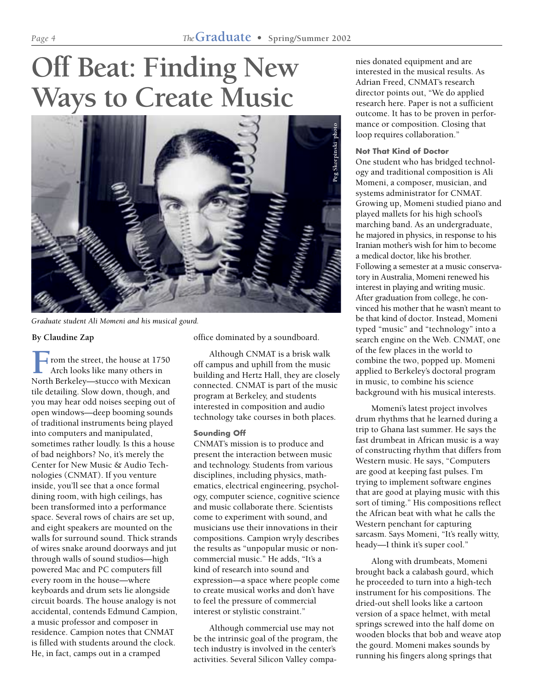# **Off Beat: Finding New Ways to Create Music**



*Graduate student Ali Momeni and his musical gourd.*

#### **By Claudine Zap**

**F** rom the street, the house at 1750<br>Arch looks like many others in<br>North Berkeley—stucco with Mexican rom the street, the house at 1750 Arch looks like many others in tile detailing. Slow down, though, and you may hear odd noises seeping out of open windows—deep booming sounds of traditional instruments being played into computers and manipulated, sometimes rather loudly. Is this a house of bad neighbors? No, it's merely the Center for New Music & Audio Technologies (CNMAT). If you venture inside, you'll see that a once formal dining room, with high ceilings, has been transformed into a performance space. Several rows of chairs are set up, and eight speakers are mounted on the walls for surround sound. Thick strands of wires snake around doorways and jut through walls of sound studios—high powered Mac and PC computers fill every room in the house—where keyboards and drum sets lie alongside circuit boards. The house analogy is not accidental, contends Edmund Campion, a music professor and composer in residence. Campion notes that CNMAT is filled with students around the clock. He, in fact, camps out in a cramped

office dominated by a soundboard.

Although CNMAT is a brisk walk off campus and uphill from the music building and Hertz Hall, they are closely connected. CNMAT is part of the music program at Berkeley, and students interested in composition and audio technology take courses in both places.

#### **Sounding Off**

CNMAT's mission is to produce and present the interaction between music and technology. Students from various disciplines, including physics, mathematics, electrical engineering, psychology, computer science, cognitive science and music collaborate there. Scientists come to experiment with sound, and musicians use their innovations in their compositions. Campion wryly describes the results as "unpopular music or noncommercial music." He adds, "It's a kind of research into sound and expression—a space where people come to create musical works and don't have to feel the pressure of commercial interest or stylistic constraint."

Although commercial use may not be the intrinsic goal of the program, the tech industry is involved in the center's activities. Several Silicon Valley companies donated equipment and are interested in the musical results. As Adrian Freed, CNMAT's research director points out, "We do applied research here. Paper is not a sufficient outcome. It has to be proven in performance or composition. Closing that loop requires collaboration."

#### **Not That Kind of Doctor**

One student who has bridged technology and traditional composition is Ali Momeni, a composer, musician, and systems administrator for CNMAT. Growing up, Momeni studied piano and played mallets for his high school's marching band. As an undergraduate, he majored in physics, in response to his Iranian mother's wish for him to become a medical doctor, like his brother. Following a semester at a music conservatory in Australia, Momeni renewed his interest in playing and writing music. After graduation from college, he convinced his mother that he wasn't meant to be that kind of doctor. Instead, Momeni typed "music" and "technology" into a search engine on the Web. CNMAT, one of the few places in the world to combine the two, popped up. Momeni applied to Berkeley's doctoral program in music, to combine his science background with his musical interests.

Momeni's latest project involves drum rhythms that he learned during a trip to Ghana last summer. He says the fast drumbeat in African music is a way of constructing rhythm that differs from Western music. He says, "Computers are good at keeping fast pulses. I'm trying to implement software engines that are good at playing music with this sort of timing." His compositions reflect the African beat with what he calls the Western penchant for capturing sarcasm. Says Momeni, "It's really witty, heady—I think it's super cool."

Along with drumbeats, Momeni brought back a calabash gourd, which he proceeded to turn into a high-tech instrument for his compositions. The dried-out shell looks like a cartoon version of a space helmet, with metal springs screwed into the half dome on wooden blocks that bob and weave atop the gourd. Momeni makes sounds by running his fingers along springs that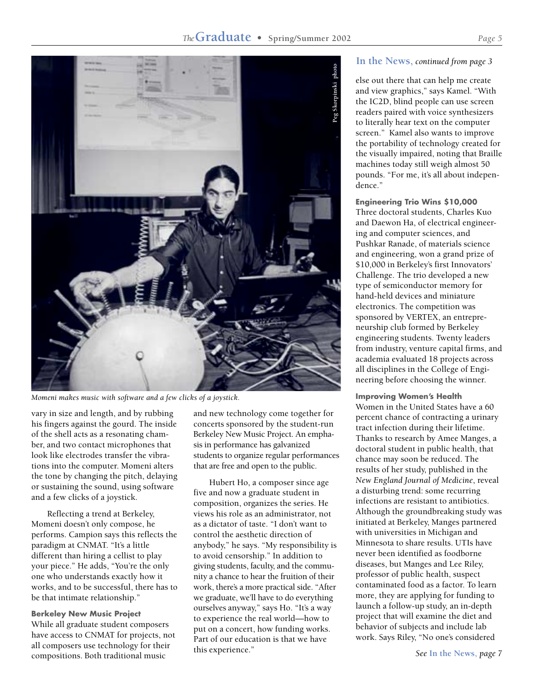#### *The***Graduate • Spring/Summer 2002** *Page 5*



*Momeni makes music with software and a few clicks of a joystick.*

vary in size and length, and by rubbing his fingers against the gourd. The inside of the shell acts as a resonating chamber, and two contact microphones that look like electrodes transfer the vibrations into the computer. Momeni alters the tone by changing the pitch, delaying or sustaining the sound, using software and a few clicks of a joystick.

Reflecting a trend at Berkeley, Momeni doesn't only compose, he performs. Campion says this reflects the paradigm at CNMAT. "It's a little different than hiring a cellist to play your piece." He adds, "You're the only one who understands exactly how it works, and to be successful, there has to be that intimate relationship."

#### **Berkeley New Music Project** While all graduate student composers have access to CNMAT for projects, not all composers use technology for their compositions. Both traditional music

and new technology come together for concerts sponsored by the student-run Berkeley New Music Project. An emphasis in performance has galvanized students to organize regular performances that are free and open to the public.

Hubert Ho, a composer since age five and now a graduate student in composition, organizes the series. He views his role as an administrator, not as a dictator of taste. "I don't want to control the aesthetic direction of anybody," he says. "My responsibility is to avoid censorship." In addition to giving students, faculty, and the community a chance to hear the fruition of their work, there's a more practical side. "After we graduate, we'll have to do everything ourselves anyway," says Ho. "It's a way to experience the real world—how to put on a concert, how funding works. Part of our education is that we have this experience."

#### **In the News,** *continued from page 3*

else out there that can help me create and view graphics," says Kamel. "With the IC2D, blind people can use screen readers paired with voice synthesizers to literally hear text on the computer screen." Kamel also wants to improve the portability of technology created for the visually impaired, noting that Braille machines today still weigh almost 50 pounds. "For me, it's all about independence."

**Engineering Trio Wins \$10,000** Three doctoral students, Charles Kuo and Daewon Ha, of electrical engineering and computer sciences, and Pushkar Ranade, of materials science and engineering, won a grand prize of \$10,000 in Berkeley's first Innovators' Challenge. The trio developed a new type of semiconductor memory for hand-held devices and miniature electronics. The competition was sponsored by VERTEX, an entrepreneurship club formed by Berkeley engineering students. Twenty leaders from industry, venture capital firms, and academia evaluated 18 projects across all disciplines in the College of Engineering before choosing the winner.

**Improving Women's Health**

Women in the United States have a 60 percent chance of contracting a urinary tract infection during their lifetime. Thanks to research by Amee Manges, a doctoral student in public health, that chance may soon be reduced. The results of her study, published in the *New England Journal of Medicine*, reveal a disturbing trend: some recurring infections are resistant to antibiotics. Although the groundbreaking study was initiated at Berkeley, Manges partnered with universities in Michigan and Minnesota to share results. UTIs have never been identified as foodborne diseases, but Manges and Lee Riley, professor of public health, suspect contaminated food as a factor. To learn more, they are applying for funding to launch a follow-up study, an in-depth project that will examine the diet and behavior of subjects and include lab work. Says Riley, "No one's considered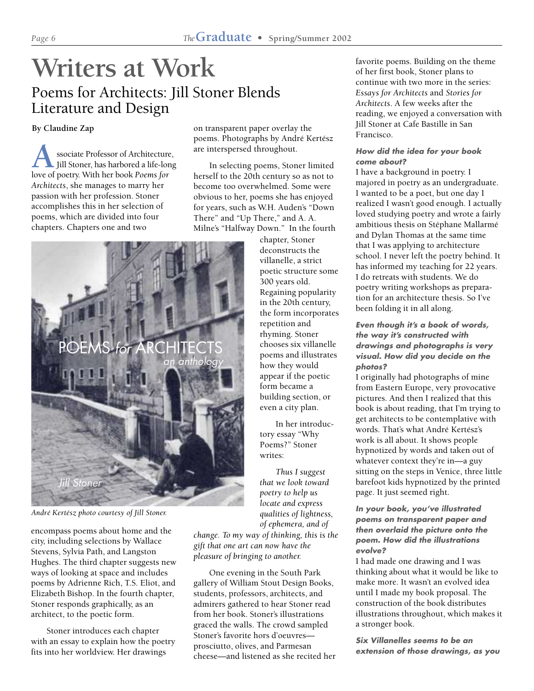# **Writers at Work** Poems for Architects: Jill Stoner Blends Literature and Design

**By Claudine Zap**

**A** ssociate Professor of Architecture<br>Jill Stoner, has harbored a life-loi<br>love of poetry. With her book *Poems for* ssociate Professor of Architecture, Jill Stoner, has harbored a life-long *Architects*, she manages to marry her passion with her profession. Stoner accomplishes this in her selection of poems, which are divided into four chapters. Chapters one and two

on transparent paper overlay the poems. Photographs by André Kertész are interspersed throughout.

In selecting poems, Stoner limited herself to the 20th century so as not to become too overwhelmed. Some were obvious to her, poems she has enjoyed for years, such as W.H. Auden's "Down There" and "Up There," and A. A. Milne's "Halfway Down." In the fourth



*André Kertész photo courtesy of Jill Stoner.*

encompass poems about home and the city, including selections by Wallace Stevens, Sylvia Path, and Langston Hughes. The third chapter suggests new ways of looking at space and includes poems by Adrienne Rich, T.S. Eliot, and Elizabeth Bishop. In the fourth chapter, Stoner responds graphically, as an architect, to the poetic form.

Stoner introduces each chapter with an essay to explain how the poetry fits into her worldview. Her drawings

chapter, Stoner deconstructs the villanelle, a strict poetic structure some 300 years old. Regaining popularity in the 20th century, the form incorporates repetition and rhyming. Stoner chooses six villanelle poems and illustrates how they would appear if the poetic form became a building section, or even a city plan.

In her introductory essay "Why Poems?" Stoner writes:

*Thus I suggest that we look toward poetry to help us locate and express qualities of lightness, of ephemera, and of*

*change. To my way of thinking, this is the gift that one art can now have the pleasure of bringing to another.*

One evening in the South Park gallery of William Stout Design Books, students, professors, architects, and admirers gathered to hear Stoner read from her book. Stoner's illustrations graced the walls. The crowd sampled Stoner's favorite hors d'oeuvres prosciutto, olives, and Parmesan cheese—and listened as she recited her

favorite poems. Building on the theme of her first book, Stoner plans to continue with two more in the series: *Essays for Architects* and *Stories for Architects*. A few weeks after the reading, we enjoyed a conversation with Jill Stoner at Cafe Bastille in San Francisco.

#### **How did the idea for your book come about?**

I have a background in poetry. I majored in poetry as an undergraduate. I wanted to be a poet, but one day I realized I wasn't good enough. I actually loved studying poetry and wrote a fairly ambitious thesis on Stéphane Mallarmé and Dylan Thomas at the same time that I was applying to architecture school. I never left the poetry behind. It has informed my teaching for 22 years. I do retreats with students. We do poetry writing workshops as preparation for an architecture thesis. So I've been folding it in all along.

#### **Even though it's a book of words, the way it's constructed with drawings and photographs is very visual. How did you decide on the photos?**

I originally had photographs of mine from Eastern Europe, very provocative pictures. And then I realized that this book is about reading, that I'm trying to get architects to be contemplative with words. That's what André Kertész's work is all about. It shows people hypnotized by words and taken out of whatever context they're in—a guy sitting on the steps in Venice, three little barefoot kids hypnotized by the printed page. It just seemed right.

#### **In your book, you've illustrated poems on transparent paper and then overlaid the picture onto the poem. How did the illustrations evolve?**

I had made one drawing and I was thinking about what it would be like to make more. It wasn't an evolved idea until I made my book proposal. The construction of the book distributes illustrations throughout, which makes it a stronger book.

**Six Villanelles seems to be an extension of those drawings, as you**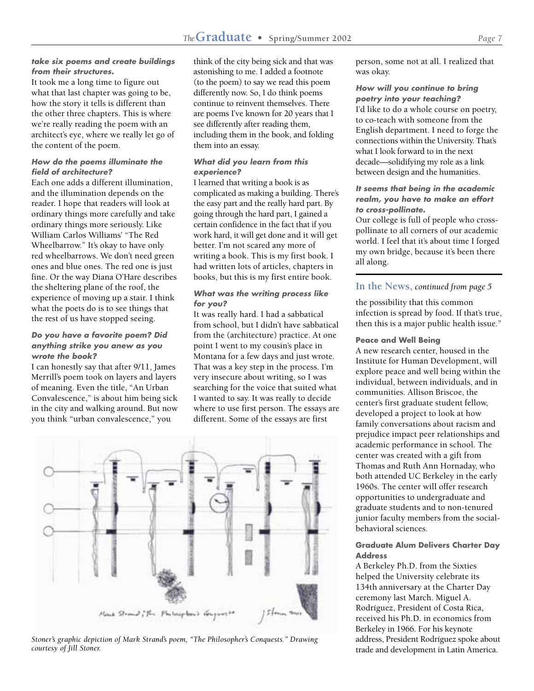#### **take six poems and create buildings from their structures.**

It took me a long time to figure out what that last chapter was going to be, how the story it tells is different than the other three chapters. This is where we're really reading the poem with an architect's eye, where we really let go of the content of the poem.

#### **How do the poems illuminate the field of architecture?**

Each one adds a different illumination, and the illumination depends on the reader. I hope that readers will look at ordinary things more carefully and take ordinary things more seriously. Like William Carlos Williams' "The Red Wheelbarrow." It's okay to have only red wheelbarrows. We don't need green ones and blue ones. The red one is just fine. Or the way Diana O'Hare describes the sheltering plane of the roof, the experience of moving up a stair. I think what the poets do is to see things that the rest of us have stopped seeing.

#### **Do you have a favorite poem? Did anything strike you anew as you wrote the book?**

I can honestly say that after 9/11, James Merrill's poem took on layers and layers of meaning. Even the title, "An Urban Convalescence," is about him being sick in the city and walking around. But now you think "urban convalescence," you

think of the city being sick and that was astonishing to me. I added a footnote (to the poem) to say we read this poem differently now. So, I do think poems continue to reinvent themselves. There are poems I've known for 20 years that I see differently after reading them, including them in the book, and folding them into an essay.

#### **What did you learn from this experience?**

I learned that writing a book is as complicated as making a building. There's the easy part and the really hard part. By going through the hard part, I gained a certain confidence in the fact that if you work hard, it will get done and it will get better. I'm not scared any more of writing a book. This is my first book. I had written lots of articles, chapters in books, but this is my first entire book.

#### **What was the writing process like for you?**

It was really hard. I had a sabbatical from school, but I didn't have sabbatical from the (architecture) practice. At one point I went to my cousin's place in Montana for a few days and just wrote. That was a key step in the process. I'm very insecure about writing, so I was searching for the voice that suited what I wanted to say. It was really to decide where to use first person. The essays are different. Some of the essays are first



*Stoner's graphic depiction of Mark Strand's poem, "The Philosopher's Conquests." Drawing courtesy of Jill Stoner.*

person, some not at all. I realized that was okay.

#### **How will you continue to bring poetry into your teaching?** I'd like to do a whole course on poetry, to co-teach with someone from the English department. I need to forge the connections within the University. That's what I look forward to in the next decade—solidifying my role as a link between design and the humanities.

#### **It seems that being in the academic realm, you have to make an effort to cross-pollinate.**

Our college is full of people who crosspollinate to all corners of our academic world. I feel that it's about time I forged my own bridge, because it's been there all along.

#### **In the News,** *continued from page 5*

the possibility that this common infection is spread by food. If that's true, then this is a major public health issue."

#### **Peace and Well Being**

A new research center, housed in the Institute for Human Development, will explore peace and well being within the individual, between individuals, and in communities. Allison Briscoe, the center's first graduate student fellow, developed a project to look at how family conversations about racism and prejudice impact peer relationships and academic performance in school. The center was created with a gift from Thomas and Ruth Ann Hornaday, who both attended UC Berkeley in the early 1960s. The center will offer research opportunities to undergraduate and graduate students and to non-tenured junior faculty members from the socialbehavioral sciences.

#### **Graduate Alum Delivers Charter Day Address**

A Berkeley Ph.D. from the Sixties helped the University celebrate its 134th anniversary at the Charter Day ceremony last March. Miguel A. Rodríguez, President of Costa Rica, received his Ph.D. in economics from Berkeley in 1966. For his keynote address, President Rodríguez spoke about trade and development in Latin America.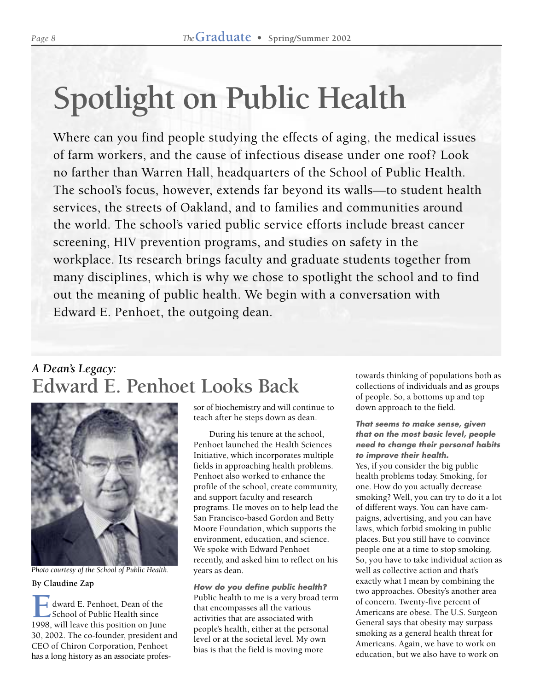# **Spotlight on Public Health**

Where can you find people studying the effects of aging, the medical issues of farm workers, and the cause of infectious disease under one roof? Look no farther than Warren Hall, headquarters of the School of Public Health. The school's focus, however, extends far beyond its walls—to student health services, the streets of Oakland, and to families and communities around the world. The school's varied public service efforts include breast cancer screening, HIV prevention programs, and studies on safety in the workplace. Its research brings faculty and graduate students together from many disciplines, which is why we chose to spotlight the school and to find out the meaning of public health. We begin with a conversation with Edward E. Penhoet, the outgoing dean.

## *A Dean's Legacy:* **Edward E. Penhoet Looks Back**



**By Claudine Zap** *Photo courtesy of the School of Public Health.*

**EXECUTE:** Fractional E. Penhoet, Dean of the School of Public Health since School of Public Health since 1998, will leave this position on June 30, 2002. The co-founder, president and CEO of Chiron Corporation, Penhoet has a long history as an associate professor of biochemistry and will continue to teach after he steps down as dean.

During his tenure at the school, Penhoet launched the Health Sciences Initiative, which incorporates multiple fields in approaching health problems. Penhoet also worked to enhance the profile of the school, create community, and support faculty and research programs. He moves on to help lead the San Francisco-based Gordon and Betty Moore Foundation, which supports the environment, education, and science. We spoke with Edward Penhoet recently, and asked him to reflect on his years as dean.

**How do you define public health?** Public health to me is a very broad term that encompasses all the various activities that are associated with people's health, either at the personal level or at the societal level. My own bias is that the field is moving more

towards thinking of populations both as collections of individuals and as groups of people. So, a bottoms up and top down approach to the field.

### **That seems to make sense, given that on the most basic level, people need to change their personal habits to improve their health.** Yes, if you consider the big public

health problems today. Smoking, for one. How do you actually decrease smoking? Well, you can try to do it a lot of different ways. You can have campaigns, advertising, and you can have laws, which forbid smoking in public places. But you still have to convince people one at a time to stop smoking. So, you have to take individual action as well as collective action and that's exactly what I mean by combining the two approaches. Obesity's another area of concern. Twenty-five percent of Americans are obese. The U.S. Surgeon General says that obesity may surpass smoking as a general health threat for Americans. Again, we have to work on education, but we also have to work on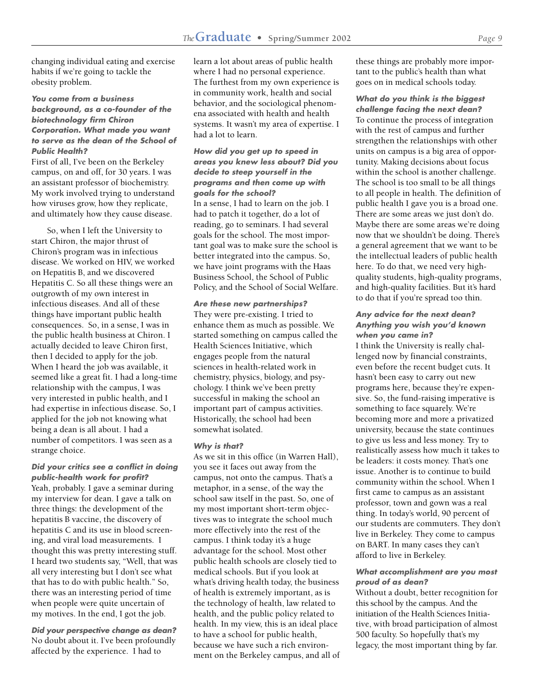changing individual eating and exercise habits if we're going to tackle the obesity problem.

#### **You come from a business background, as a co-founder of the biotechnology firm Chiron Corporation. What made you want to serve as the dean of the School of Public Health?**

First of all, I've been on the Berkeley campus, on and off, for 30 years. I was an assistant professor of biochemistry. My work involved trying to understand how viruses grow, how they replicate, and ultimately how they cause disease.

So, when I left the University to start Chiron, the major thrust of Chiron's program was in infectious disease. We worked on HIV, we worked on Hepatitis B, and we discovered Hepatitis C. So all these things were an outgrowth of my own interest in infectious diseases. And all of these things have important public health consequences. So, in a sense, I was in the public health business at Chiron. I actually decided to leave Chiron first, then I decided to apply for the job. When I heard the job was available, it seemed like a great fit. I had a long-time relationship with the campus, I was very interested in public health, and I had expertise in infectious disease. So, I applied for the job not knowing what being a dean is all about. I had a number of competitors. I was seen as a strange choice.

#### **Did your critics see a conflict in doing public-health work for profit?** Yeah, probably. I gave a seminar during

my interview for dean. I gave a talk on three things: the development of the hepatitis B vaccine, the discovery of hepatitis C and its use in blood screening, and viral load measurements. I thought this was pretty interesting stuff. I heard two students say, "Well, that was all very interesting but I don't see what that has to do with public health." So, there was an interesting period of time when people were quite uncertain of my motives. In the end, I got the job.

**Did your perspective change as dean?** No doubt about it. I've been profoundly affected by the experience. I had to

learn a lot about areas of public health where I had no personal experience. The furthest from my own experience is in community work, health and social behavior, and the sociological phenomena associated with health and health systems. It wasn't my area of expertise. I had a lot to learn.

#### **How did you get up to speed in areas you knew less about? Did you decide to steep yourself in the programs and then come up with goals for the school?**

In a sense, I had to learn on the job. I had to patch it together, do a lot of reading, go to seminars. I had several goals for the school. The most important goal was to make sure the school is better integrated into the campus. So, we have joint programs with the Haas Business School, the School of Public Policy, and the School of Social Welfare.

#### **Are these new partnerships?**

They were pre-existing. I tried to enhance them as much as possible. We started something on campus called the Health Sciences Initiative, which engages people from the natural sciences in health-related work in chemistry, physics, biology, and psychology. I think we've been pretty successful in making the school an important part of campus activities. Historically, the school had been somewhat isolated.

#### **Why is that?**

As we sit in this office (in Warren Hall), you see it faces out away from the campus, not onto the campus. That's a metaphor, in a sense, of the way the school saw itself in the past. So, one of my most important short-term objectives was to integrate the school much more effectively into the rest of the campus. I think today it's a huge advantage for the school. Most other public health schools are closely tied to medical schools. But if you look at what's driving health today, the business of health is extremely important, as is the technology of health, law related to health, and the public policy related to health. In my view, this is an ideal place to have a school for public health, because we have such a rich environment on the Berkeley campus, and all of these things are probably more important to the public's health than what goes on in medical schools today.

**What do you think is the biggest challenge facing the next dean?** To continue the process of integration with the rest of campus and further strengthen the relationships with other units on campus is a big area of opportunity. Making decisions about focus within the school is another challenge. The school is too small to be all things to all people in health. The definition of public health I gave you is a broad one. There are some areas we just don't do. Maybe there are some areas we're doing now that we shouldn't be doing. There's a general agreement that we want to be the intellectual leaders of public health here. To do that, we need very highquality students, high-quality programs, and high-quality facilities. But it's hard to do that if you're spread too thin.

#### **Any advice for the next dean? Anything you wish you'd known when you came in?**

I think the University is really challenged now by financial constraints, even before the recent budget cuts. It hasn't been easy to carry out new programs here, because they're expensive. So, the fund-raising imperative is something to face squarely. We're becoming more and more a privatized university, because the state continues to give us less and less money. Try to realistically assess how much it takes to be leaders: it costs money. That's one issue. Another is to continue to build community within the school. When I first came to campus as an assistant professor, town and gown was a real thing. In today's world, 90 percent of our students are commuters. They don't live in Berkeley. They come to campus on BART. In many cases they can't afford to live in Berkeley.

#### **What accomplishment are you most proud of as dean?**

Without a doubt, better recognition for this school by the campus. And the initiation of the Health Sciences Initiative, with broad participation of almost 500 faculty. So hopefully that's my legacy, the most important thing by far.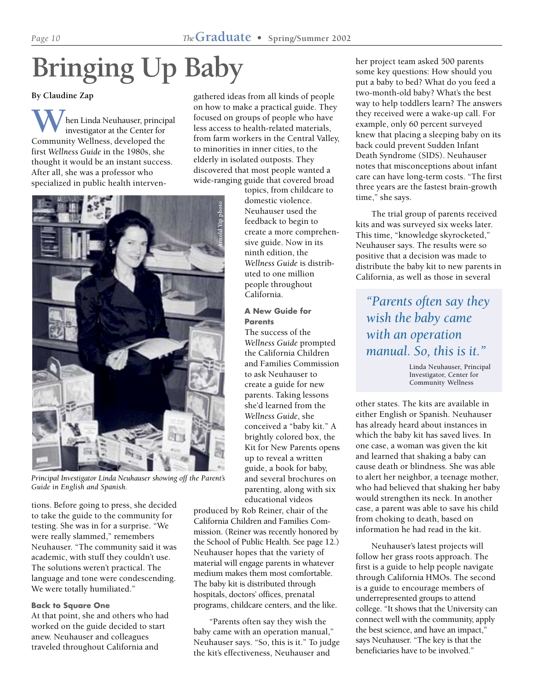# **Bringing Up Baby**

**By Claudine Zap**

hen Linda Neuhauser, principal investigator at the Center for **W** hen Linda Neuhauser, princi<br>
community Wellness, developed the first *Wellness Guide* in the 1980s, she thought it would be an instant success. After all, she was a professor who specialized in public health intervengathered ideas from all kinds of people on how to make a practical guide. They focused on groups of people who have less access to health-related materials, from farm workers in the Central Valley, to minorities in inner cities, to the elderly in isolated outposts. They discovered that most people wanted a wide-ranging guide that covered broad



*Principal Investigator Linda Neuhauser showing off the Parent's Guide in English and Spanish.*

tions. Before going to press, she decided to take the guide to the community for testing. She was in for a surprise. "We were really slammed," remembers Neuhauser. "The community said it was academic, with stuff they couldn't use. The solutions weren't practical. The language and tone were condescending. We were totally humiliated."

#### **Back to Square One**

At that point, she and others who had worked on the guide decided to start anew. Neuhauser and colleagues traveled throughout California and

topics, from childcare to domestic violence. Neuhauser used the feedback to begin to create a more comprehensive guide. Now in its ninth edition, the *Wellness Guide* is distributed to one million people throughout California.

#### **A New Guide for Parents**

The success of the *Wellness Guide* prompted the California Children and Families Commission to ask Neuhauser to create a guide for new parents. Taking lessons she'd learned from the *Wellness Guide*, she conceived a "baby kit." A brightly colored box, the Kit for New Parents opens up to reveal a written guide, a book for baby, and several brochures on parenting, along with six educational videos

produced by Rob Reiner, chair of the California Children and Families Commission. (Reiner was recently honored by the School of Public Health. See page 12.) Neuhauser hopes that the variety of material will engage parents in whatever medium makes them most comfortable. The baby kit is distributed through hospitals, doctors' offices, prenatal programs, childcare centers, and the like.

"Parents often say they wish the baby came with an operation manual," Neuhauser says. "So, this is it." To judge the kit's effectiveness, Neuhauser and

her project team asked 500 parents some key questions: How should you put a baby to bed? What do you feed a two-month-old baby? What's the best way to help toddlers learn? The answers they received were a wake-up call. For example, only 60 percent surveyed knew that placing a sleeping baby on its back could prevent Sudden Infant Death Syndrome (SIDS). Neuhauser notes that misconceptions about infant care can have long-term costs. "The first three years are the fastest brain-growth time," she says.

The trial group of parents received kits and was surveyed six weeks later. This time, "knowledge skyrocketed," Neuhauser says. The results were so positive that a decision was made to distribute the baby kit to new parents in California, as well as those in several

*"Parents often say they wish the baby came with an operation manual. So, this is it."*

> Linda Neuhauser, Principal Investigator, Center for Community Wellness

other states. The kits are available in either English or Spanish. Neuhauser has already heard about instances in which the baby kit has saved lives. In one case, a woman was given the kit and learned that shaking a baby can cause death or blindness. She was able to alert her neighbor, a teenage mother, who had believed that shaking her baby would strengthen its neck. In another case, a parent was able to save his child from choking to death, based on information he had read in the kit.

Neuhauser's latest projects will follow her grass roots approach. The first is a guide to help people navigate through California HMOs. The second is a guide to encourage members of underrepresented groups to attend college. "It shows that the University can connect well with the community, apply the best science, and have an impact," says Neuhauser. "The key is that the beneficiaries have to be involved."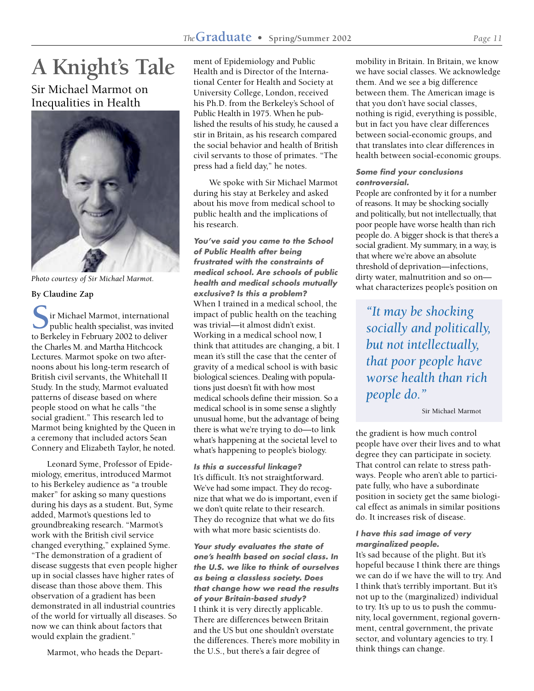# **A Knight's Tale**

### Sir Michael Marmot on Inequalities in Health



*Photo courtesy of Sir Michael Marmot.*

#### **By Claudine Zap**

Sir Michael Marmot, international public health specialist, was invite<br>to Berkeley in February 2002 to deliver ir Michael Marmot, international public health specialist, was invited the Charles M. and Martha Hitchcock Lectures. Marmot spoke on two afternoons about his long-term research of British civil servants, the Whitehall II Study. In the study, Marmot evaluated patterns of disease based on where people stood on what he calls "the social gradient." This research led to Marmot being knighted by the Queen in a ceremony that included actors Sean Connery and Elizabeth Taylor, he noted.

Leonard Syme, Professor of Epidemiology, emeritus, introduced Marmot to his Berkeley audience as "a trouble maker" for asking so many questions during his days as a student. But, Syme added, Marmot's questions led to groundbreaking research. "Marmot's work with the British civil service changed everything," explained Syme. "The demonstration of a gradient of disease suggests that even people higher up in social classes have higher rates of disease than those above them. This observation of a gradient has been demonstrated in all industrial countries of the world for virtually all diseases. So now we can think about factors that would explain the gradient."

Marmot, who heads the Depart-

ment of Epidemiology and Public Health and is Director of the International Center for Health and Society at University College, London, received his Ph.D. from the Berkeley's School of Public Health in 1975. When he published the results of his study, he caused a stir in Britain, as his research compared the social behavior and health of British civil servants to those of primates. "The press had a field day," he notes.

We spoke with Sir Michael Marmot during his stay at Berkeley and asked about his move from medical school to public health and the implications of his research.

**You've said you came to the School of Public Health after being frustrated with the constraints of medical school. Are schools of public health and medical schools mutually exclusive? Is this a problem?** When I trained in a medical school, the impact of public health on the teaching was trivial—it almost didn't exist. Working in a medical school now, I think that attitudes are changing, a bit. I mean it's still the case that the center of gravity of a medical school is with basic biological sciences. Dealing with populations just doesn't fit with how most medical schools define their mission. So a medical school is in some sense a slightly unusual home, but the advantage of being there is what we're trying to do—to link what's happening at the societal level to what's happening to people's biology.

**Is this a successful linkage?** It's difficult. It's not straightforward. We've had some impact. They do recognize that what we do is important, even if we don't quite relate to their research. They do recognize that what we do fits with what more basic scientists do.

**Your study evaluates the state of one's health based on social class. In the U.S. we like to think of ourselves as being a classless society. Does that change how we read the results of your Britain-based study?** I think it is very directly applicable. There are differences between Britain and the US but one shouldn't overstate the differences. There's more mobility in the U.S., but there's a fair degree of

mobility in Britain. In Britain, we know we have social classes. We acknowledge them. And we see a big difference between them. The American image is that you don't have social classes, nothing is rigid, everything is possible, but in fact you have clear differences between social-economic groups, and that translates into clear differences in health between social-economic groups.

#### **Some find your conclusions controversial.**

People are confronted by it for a number of reasons. It may be shocking socially and politically, but not intellectually, that poor people have worse health than rich people do. A bigger shock is that there's a social gradient. My summary, in a way, is that where we're above an absolute threshold of deprivation—infections, dirty water, malnutrition and so on what characterizes people's position on

*"It may be shocking socially and politically, but not intellectually, that poor people have worse health than rich people do."*

Sir Michael Marmot

the gradient is how much control people have over their lives and to what degree they can participate in society. That control can relate to stress pathways. People who aren't able to participate fully, who have a subordinate position in society get the same biological effect as animals in similar positions do. It increases risk of disease.

#### **I have this sad image of very marginalized people.**

It's sad because of the plight. But it's hopeful because I think there are things we can do if we have the will to try. And I think that's terribly important. But it's not up to the (marginalized) individual to try. It's up to us to push the community, local government, regional government, central government, the private sector, and voluntary agencies to try. I think things can change.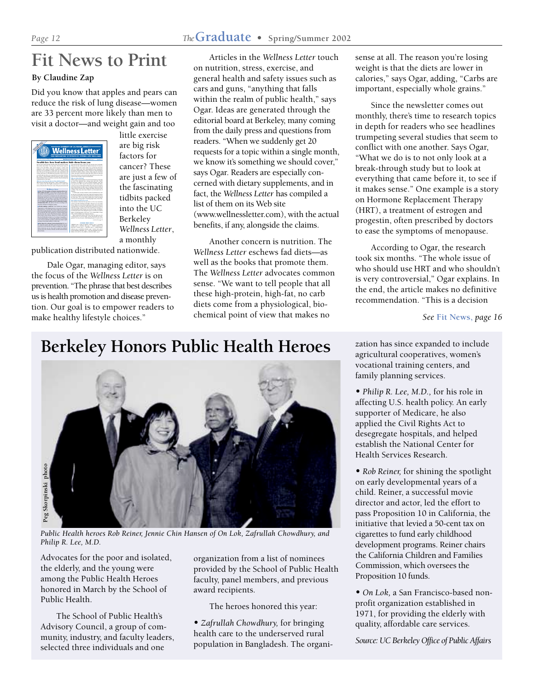# **Fit News to Print**

#### **By Claudine Zap**

Did you know that apples and pears can reduce the risk of lung disease—women are 33 percent more likely than men to visit a doctor—and weight gain and too



little exercise are big risk factors for cancer? These are just a few of the fascinating tidbits packed into the UC Berkeley *Wellness Letter*, a monthly

publication distributed nationwide.

Dale Ogar, managing editor, says the focus of the *Wellness Letter* is on prevention. "The phrase that best describes us is health promotion and disease prevention. Our goal is to empower readers to make healthy lifestyle choices."

Articles in the *Wellness Letter* touch on nutrition, stress, exercise, and general health and safety issues such as cars and guns, "anything that falls within the realm of public health," says Ogar. Ideas are generated through the editorial board at Berkeley, many coming from the daily press and questions from readers. "When we suddenly get 20 requests for a topic within a single month, we know it's something we should cover," says Ogar. Readers are especially concerned with dietary supplements, and in fact, the *Wellness Letter* has compiled a list of them on its Web site (www.wellnessletter.com), with the actual benefits, if any, alongside the claims.

Another concern is nutrition. The *Wellness Letter* eschews fad diets—as well as the books that promote them. The *Wellness Letter* advocates common sense. "We want to tell people that all these high-protein, high-fat, no carb diets come from a physiological, biochemical point of view that makes no

sense at all. The reason you're losing weight is that the diets are lower in calories," says Ogar, adding, "Carbs are important, especially whole grains."

Since the newsletter comes out monthly, there's time to research topics in depth for readers who see headlines trumpeting several studies that seem to conflict with one another. Says Ogar, "What we do is to not only look at a break-through study but to look at everything that came before it, to see if it makes sense." One example is a story on Hormone Replacement Therapy (HRT), a treatment of estrogen and progestin, often prescribed by doctors to ease the symptoms of menopause.

According to Ogar, the research took six months. "The whole issue of who should use HRT and who shouldn't is very controversial," Ogar explains. In the end, the article makes no definitive recommendation. "This is a decision

*See* **Fit News,** *page 16*

zation has since expanded to include agricultural cooperatives, women's vocational training centers, and family planning services.

• *Philip R. Lee, M.D.,* for his role in affecting U.S. health policy. An early supporter of Medicare, he also applied the Civil Rights Act to desegregate hospitals, and helped establish the National Center for Health Services Research.

• *Rob Reiner,* for shining the spotlight on early developmental years of a child. Reiner, a successful movie director and actor, led the effort to pass Proposition 10 in California, the initiative that levied a 50-cent tax on cigarettes to fund early childhood development programs. Reiner chairs the California Children and Families Commission, which oversees the Proposition 10 funds.

• *On Lok,* a San Francisco-based nonprofit organization established in 1971, for providing the elderly with quality, affordable care services.

*Source: UC Berkeley Office of Public Affairs*

## **Berkeley Honors Public Health Heroes**



*Public Health heroes Rob Reiner, Jennie Chin Hansen of On Lok, Zafrullah Chowdhury, and Philip R. Lee, M.D.*

Advocates for the poor and isolated, the elderly, and the young were among the Public Health Heroes honored in March by the School of Public Health.

The School of Public Health's Advisory Council, a group of community, industry, and faculty leaders, selected three individuals and one

organization from a list of nominees provided by the School of Public Health faculty, panel members, and previous award recipients.

The heroes honored this year:

• *Zafrullah Chowdhury,* for bringing health care to the underserved rural population in Bangladesh. The organi-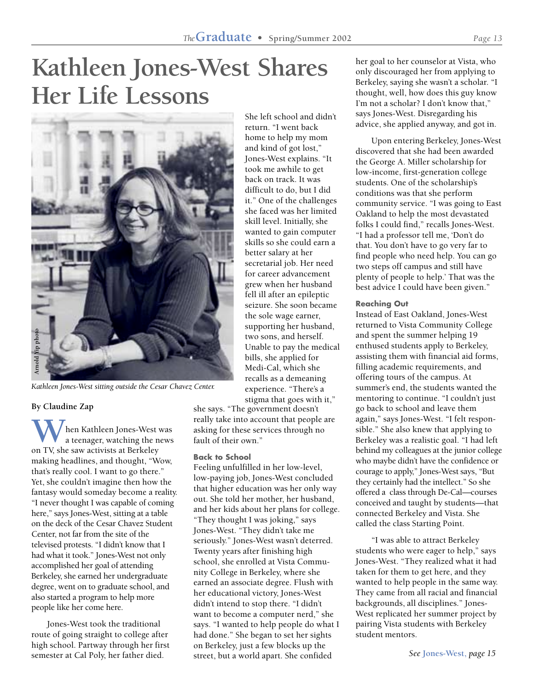# **Kathleen Jones-West Shares Her Life Lessons**



*Kathleen Jones-West sitting outside the Cesar Chavez Center.*

#### **By Claudine Zap**

hen Kathleen Jones-West was a teenager, watching the news **W** hen Kathleen Jones-West<br>a teenager, watching the n<br>on TV, she saw activists at Berkeley making headlines, and thought, "Wow, that's really cool. I want to go there." Yet, she couldn't imagine then how the fantasy would someday become a reality. "I never thought I was capable of coming here," says Jones-West, sitting at a table on the deck of the Cesar Chavez Student Center, not far from the site of the televised protests. "I didn't know that I had what it took." Jones-West not only accomplished her goal of attending Berkeley, she earned her undergraduate degree, went on to graduate school, and also started a program to help more people like her come here.

Jones-West took the traditional route of going straight to college after high school. Partway through her first semester at Cal Poly, her father died.

She left school and didn't return. "I went back home to help my mom and kind of got lost," Jones-West explains. "It took me awhile to get back on track. It was difficult to do, but I did it." One of the challenges she faced was her limited skill level. Initially, she wanted to gain computer skills so she could earn a better salary at her secretarial job. Her need for career advancement grew when her husband fell ill after an epileptic seizure. She soon became the sole wage earner, supporting her husband, two sons, and herself. Unable to pay the medical bills, she applied for Medi-Cal, which she recalls as a demeaning experience. "There's a stigma that goes with it,"

she says. "The government doesn't really take into account that people are asking for these services through no fault of their own."

#### **Back to School**

Feeling unfulfilled in her low-level, low-paying job, Jones-West concluded that higher education was her only way out. She told her mother, her husband, and her kids about her plans for college. "They thought I was joking," says Jones-West. "They didn't take me seriously." Jones-West wasn't deterred. Twenty years after finishing high school, she enrolled at Vista Community College in Berkeley, where she earned an associate degree. Flush with her educational victory, Jones-West didn't intend to stop there. "I didn't want to become a computer nerd," she says. "I wanted to help people do what I had done." She began to set her sights on Berkeley, just a few blocks up the street, but a world apart. She confided

her goal to her counselor at Vista, who only discouraged her from applying to Berkeley, saying she wasn't a scholar. "I thought, well, how does this guy know I'm not a scholar? I don't know that," says Jones-West. Disregarding his advice, she applied anyway, and got in.

Upon entering Berkeley, Jones-West discovered that she had been awarded the George A. Miller scholarship for low-income, first-generation college students. One of the scholarship's conditions was that she perform community service. "I was going to East Oakland to help the most devastated folks I could find," recalls Jones-West. "I had a professor tell me, 'Don't do that. You don't have to go very far to find people who need help. You can go two steps off campus and still have plenty of people to help.' That was the best advice I could have been given."

#### **Reaching Out**

Instead of East Oakland, Jones-West returned to Vista Community College and spent the summer helping 19 enthused students apply to Berkeley, assisting them with financial aid forms, filling academic requirements, and offering tours of the campus. At summer's end, the students wanted the mentoring to continue. "I couldn't just go back to school and leave them again," says Jones-West. "I felt responsible." She also knew that applying to Berkeley was a realistic goal. "I had left behind my colleagues at the junior college who maybe didn't have the confidence or courage to apply," Jones-West says, "But they certainly had the intellect." So she offered a class through De-Cal—courses conceived and taught by students—that connected Berkeley and Vista. She called the class Starting Point.

"I was able to attract Berkeley students who were eager to help," says Jones-West. "They realized what it had taken for them to get here, and they wanted to help people in the same way. They came from all racial and financial backgrounds, all disciplines." Jones-West replicated her summer project by pairing Vista students with Berkeley student mentors.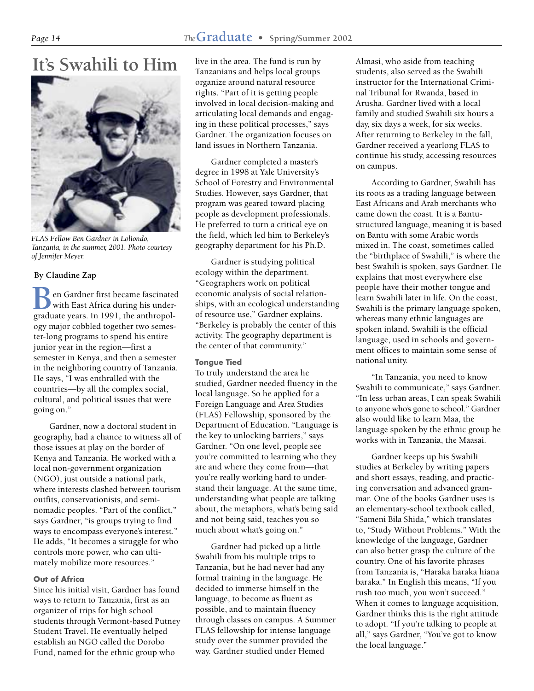# **It's Swahili to Him**



*FLAS Fellow Ben Gardner in Loliondo, Tanzania, in the summer, 2001. Photo courtesy of Jennifer Meyer.*

#### **By Claudine Zap**

**B** en Gardner first became fascinated with East Africa during his undergraduate years. In 1991, the anthropolen Gardner first became fascinated with East Africa during his underogy major cobbled together two semester-long programs to spend his entire junior year in the region—first a semester in Kenya, and then a semester in the neighboring country of Tanzania. He says, "I was enthralled with the countries—by all the complex social, cultural, and political issues that were going on."

Gardner, now a doctoral student in geography, had a chance to witness all of those issues at play on the border of Kenya and Tanzania. He worked with a local non-government organization (NGO), just outside a national park, where interests clashed between tourism outfits, conservationists, and seminomadic peoples. "Part of the conflict," says Gardner, "is groups trying to find ways to encompass everyone's interest." He adds, "It becomes a struggle for who controls more power, who can ultimately mobilize more resources."

#### **Out of Africa**

Since his initial visit, Gardner has found ways to return to Tanzania, first as an organizer of trips for high school students through Vermont-based Putney Student Travel. He eventually helped establish an NGO called the Dorobo Fund, named for the ethnic group who

live in the area. The fund is run by Tanzanians and helps local groups organize around natural resource rights. "Part of it is getting people involved in local decision-making and articulating local demands and engaging in these political processes," says Gardner. The organization focuses on land issues in Northern Tanzania.

Gardner completed a master's degree in 1998 at Yale University's School of Forestry and Environmental Studies. However, says Gardner, that program was geared toward placing people as development professionals. He preferred to turn a critical eye on the field, which led him to Berkeley's geography department for his Ph.D.

Gardner is studying political ecology within the department. "Geographers work on political economic analysis of social relationships, with an ecological understanding of resource use," Gardner explains. "Berkeley is probably the center of this activity. The geography department is the center of that community."

#### **Tongue Tied**

To truly understand the area he studied, Gardner needed fluency in the local language. So he applied for a Foreign Language and Area Studies (FLAS) Fellowship, sponsored by the Department of Education. "Language is the key to unlocking barriers," says Gardner. "On one level, people see you're committed to learning who they are and where they come from—that you're really working hard to understand their language. At the same time, understanding what people are talking about, the metaphors, what's being said and not being said, teaches you so much about what's going on."

Gardner had picked up a little Swahili from his multiple trips to Tanzania, but he had never had any formal training in the language. He decided to immerse himself in the language, to become as fluent as possible, and to maintain fluency through classes on campus. A Summer FLAS fellowship for intense language study over the summer provided the way. Gardner studied under Hemed

Almasi, who aside from teaching students, also served as the Swahili instructor for the International Criminal Tribunal for Rwanda, based in Arusha. Gardner lived with a local family and studied Swahili six hours a day, six days a week, for six weeks. After returning to Berkeley in the fall, Gardner received a yearlong FLAS to continue his study, accessing resources on campus.

According to Gardner, Swahili has its roots as a trading language between East Africans and Arab merchants who came down the coast. It is a Bantustructured language, meaning it is based on Bantu with some Arabic words mixed in. The coast, sometimes called the "birthplace of Swahili," is where the best Swahili is spoken, says Gardner. He explains that most everywhere else people have their mother tongue and learn Swahili later in life. On the coast, Swahili is the primary language spoken, whereas many ethnic languages are spoken inland. Swahili is the official language, used in schools and government offices to maintain some sense of national unity.

"In Tanzania, you need to know Swahili to communicate," says Gardner. "In less urban areas, I can speak Swahili to anyone who's gone to school." Gardner also would like to learn Maa, the language spoken by the ethnic group he works with in Tanzania, the Maasai.

Gardner keeps up his Swahili studies at Berkeley by writing papers and short essays, reading, and practicing conversation and advanced grammar. One of the books Gardner uses is an elementary-school textbook called, "Sameni Bila Shida," which translates to, "Study Without Problems." With the knowledge of the language, Gardner can also better grasp the culture of the country. One of his favorite phrases from Tanzania is, "Haraka haraka hiana baraka." In English this means, "If you rush too much, you won't succeed." When it comes to language acquisition, Gardner thinks this is the right attitude to adopt. "If you're talking to people at all," says Gardner, "You've got to know the local language."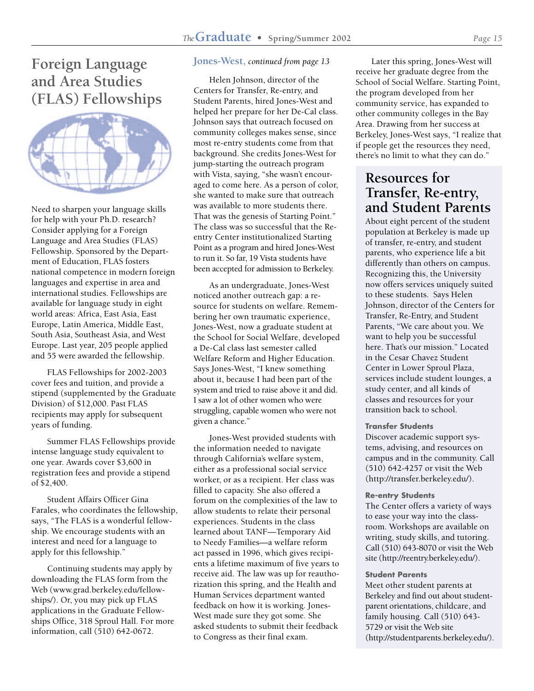## **Foreign Language and Area Studies (FLAS) Fellowships**



Need to sharpen your language skills for help with your Ph.D. research? Consider applying for a Foreign Language and Area Studies (FLAS) Fellowship. Sponsored by the Department of Education, FLAS fosters national competence in modern foreign languages and expertise in area and international studies. Fellowships are available for language study in eight world areas: Africa, East Asia, East Europe, Latin America, Middle East, South Asia, Southeast Asia, and West Europe. Last year, 205 people applied and 55 were awarded the fellowship.

FLAS Fellowships for 2002-2003 cover fees and tuition, and provide a stipend (supplemented by the Graduate Division) of \$12,000. Past FLAS recipients may apply for subsequent years of funding.

Summer FLAS Fellowships provide intense language study equivalent to one year. Awards cover \$3,600 in registration fees and provide a stipend of \$2,400.

Student Affairs Officer Gina Farales, who coordinates the fellowship, says, "The FLAS is a wonderful fellowship. We encourage students with an interest and need for a language to apply for this fellowship."

Continuing students may apply by downloading the FLAS form from the Web (www.grad.berkeley.edu/fellowships/). Or, you may pick up FLAS applications in the Graduate Fellowships Office, 318 Sproul Hall. For more information, call (510) 642-0672.

#### **Jones-West,** *continued from page 13*

Helen Johnson, director of the Centers for Transfer, Re-entry, and Student Parents, hired Jones-West and helped her prepare for her De-Cal class. Johnson says that outreach focused on community colleges makes sense, since most re-entry students come from that background. She credits Jones-West for jump-starting the outreach program with Vista, saying, "she wasn't encouraged to come here. As a person of color, she wanted to make sure that outreach was available to more students there. That was the genesis of Starting Point." The class was so successful that the Reentry Center institutionalized Starting Point as a program and hired Jones-West to run it. So far, 19 Vista students have been accepted for admission to Berkeley.

As an undergraduate, Jones-West noticed another outreach gap: a resource for students on welfare. Remembering her own traumatic experience, Jones-West, now a graduate student at the School for Social Welfare, developed a De-Cal class last semester called Welfare Reform and Higher Education. Says Jones-West, "I knew something about it, because I had been part of the system and tried to raise above it and did. I saw a lot of other women who were struggling, capable women who were not given a chance."

Jones-West provided students with the information needed to navigate through California's welfare system, either as a professional social service worker, or as a recipient. Her class was filled to capacity. She also offered a forum on the complexities of the law to allow students to relate their personal experiences. Students in the class learned about TANF—Temporary Aid to Needy Families—a welfare reform act passed in 1996, which gives recipients a lifetime maximum of five years to receive aid. The law was up for reauthorization this spring, and the Health and Human Services department wanted feedback on how it is working. Jones-West made sure they got some. She asked students to submit their feedback to Congress as their final exam.

Later this spring, Jones-West will receive her graduate degree from the School of Social Welfare. Starting Point, the program developed from her community service, has expanded to other community colleges in the Bay Area. Drawing from her success at Berkeley, Jones-West says, "I realize that if people get the resources they need, there's no limit to what they can do."

## **Resources for Transfer, Re-entry, and Student Parents**

About eight percent of the student population at Berkeley is made up of transfer, re-entry, and student parents, who experience life a bit differently than others on campus. Recognizing this, the University now offers services uniquely suited to these students. Says Helen Johnson, director of the Centers for Transfer, Re-Entry, and Student Parents, "We care about you. We want to help you be successful here. That's our mission." Located in the Cesar Chavez Student Center in Lower Sproul Plaza, services include student lounges, a study center, and all kinds of classes and resources for your transition back to school.

#### **Transfer Students**

Discover academic support systems, advising, and resources on campus and in the community. Call (510) 642-4257 or visit the Web (http://transfer.berkeley.edu/).

#### **Re-entry Students**

The Center offers a variety of ways to ease your way into the classroom. Workshops are available on writing, study skills, and tutoring. Call (510) 643-8070 or visit the Web site (http://reentry.berkeley.edu/).

#### **Student Parents**

Meet other student parents at Berkeley and find out about studentparent orientations, childcare, and family housing. Call (510) 643- 5729 or visit the Web site (http://studentparents.berkeley.edu/).